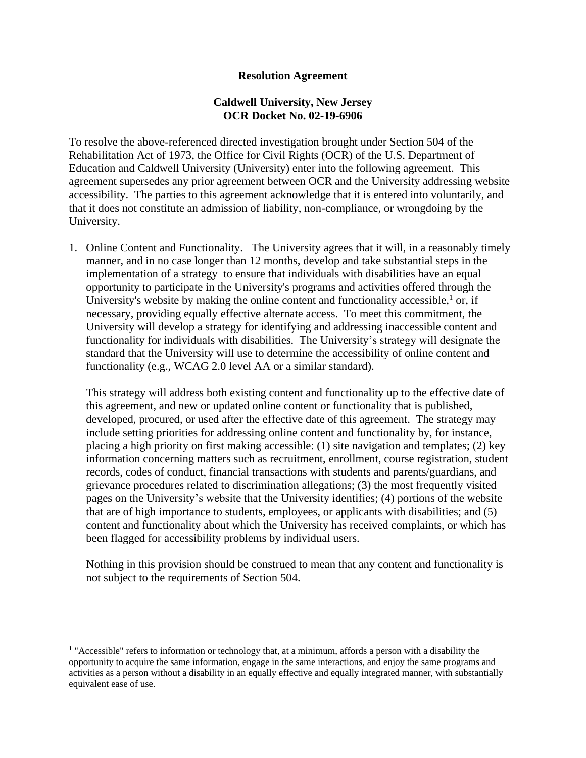## **Resolution Agreement**

## **Caldwell University, New Jersey OCR Docket No. 02-19-6906**

To resolve the above-referenced directed investigation brought under Section 504 of the Rehabilitation Act of 1973, the Office for Civil Rights (OCR) of the U.S. Department of Education and Caldwell University (University) enter into the following agreement. This agreement supersedes any prior agreement between OCR and the University addressing website accessibility. The parties to this agreement acknowledge that it is entered into voluntarily, and that it does not constitute an admission of liability, non-compliance, or wrongdoing by the University.

1. Online Content and Functionality. The University agrees that it will, in a reasonably timely manner, and in no case longer than 12 months, develop and take substantial steps in the implementation of a strategy to ensure that individuals with disabilities have an equal opportunity to participate in the University's programs and activities offered through the University's website by making the online content and functionality accessible, $\frac{1}{1}$  or, if necessary, providing equally effective alternate access. To meet this commitment, the University will develop a strategy for identifying and addressing inaccessible content and functionality for individuals with disabilities. The University's strategy will designate the standard that the University will use to determine the accessibility of online content and functionality (e.g., WCAG 2.0 level AA or a similar standard).

This strategy will address both existing content and functionality up to the effective date of this agreement, and new or updated online content or functionality that is published, developed, procured, or used after the effective date of this agreement. The strategy may include setting priorities for addressing online content and functionality by, for instance, placing a high priority on first making accessible: (1) site navigation and templates; (2) key information concerning matters such as recruitment, enrollment, course registration, student records, codes of conduct, financial transactions with students and parents/guardians, and grievance procedures related to discrimination allegations; (3) the most frequently visited pages on the University's website that the University identifies; (4) portions of the website that are of high importance to students, employees, or applicants with disabilities; and (5) content and functionality about which the University has received complaints, or which has been flagged for accessibility problems by individual users.

Nothing in this provision should be construed to mean that any content and functionality is not subject to the requirements of Section 504.

<sup>&</sup>lt;sup>1</sup> "Accessible" refers to information or technology that, at a minimum, affords a person with a disability the opportunity to acquire the same information, engage in the same interactions, and enjoy the same programs and activities as a person without a disability in an equally effective and equally integrated manner, with substantially equivalent ease of use.